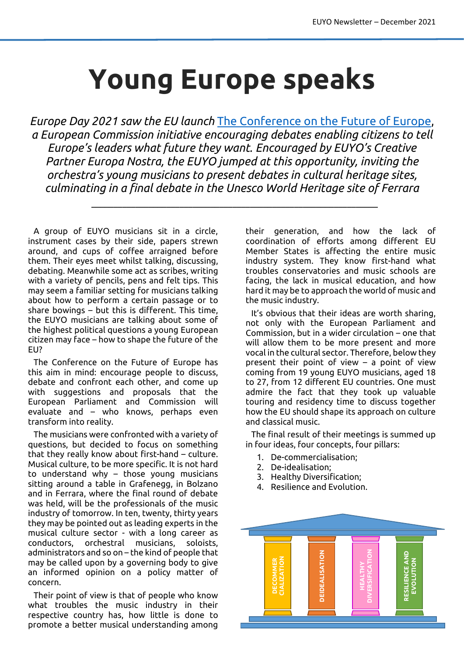## **Young Europe speaks**

*Europe Day 2021 saw the EU launch* [The Conference on the Future of Europe,](https://futureu.europa.eu/) *a European Commission initiative encouraging debates enabling citizens to tell Europe's leaders what future they want. Encouraged by EUYO's Creative Partner Europa Nostra, the EUYO jumped at this opportunity, inviting the orchestra's young musicians to present debates in cultural heritage sites, culminating in a final debate in the Unesco World Heritage site of Ferrara*

\_\_\_\_\_\_\_\_\_\_\_\_\_\_\_\_\_\_\_\_\_\_\_\_\_\_\_\_\_\_\_\_\_\_\_\_\_\_\_\_\_\_\_\_\_\_\_\_\_\_\_\_\_\_\_\_\_\_\_\_\_\_\_\_\_

A group of EUYO musicians sit in a circle, instrument cases by their side, papers strewn around, and cups of coffee arraigned before them. Their eyes meet whilst talking, discussing, debating. Meanwhile some act as scribes, writing with a variety of pencils, pens and felt tips. This may seem a familiar setting for musicians talking about how to perform a certain passage or to share bowings – but this is different. This time, the EUYO musicians are talking about some of the highest political questions a young European citizen may face – how to shape the future of the EU?

The Conference on the Future of Europe has this aim in mind: encourage people to discuss, debate and confront each other, and come up with suggestions and proposals that the European Parliament and Commission will evaluate and – who knows, perhaps even transform into reality.

The musicians were confronted with a variety of questions, but decided to focus on something that they really know about first-hand – culture. Musical culture, to be more specific. It is not hard to understand why – those young musicians sitting around a table in Grafenegg, in Bolzano and in Ferrara, where the final round of debate was held, will be the professionals of the music industry of tomorrow. In ten, twenty, thirty years they may be pointed out as leading experts in the musical culture sector - with a long career as conductors, orchestral musicians, soloists, administrators and so on – the kind of people that may be called upon by a governing body to give an informed opinion on a policy matter of concern.

Their point of view is that of people who know what troubles the music industry in their respective country has, how little is done to promote a better musical understanding among

their generation, and how the lack of coordination of efforts among different EU Member States is affecting the entire music industry system. They know first-hand what troubles conservatories and music schools are facing, the lack in musical education, and how hard it may be to approach the world of music and the music industry.

It's obvious that their ideas are worth sharing, not only with the European Parliament and Commission, but in a wider circulation – one that will allow them to be more present and more vocal in the cultural sector. Therefore, below they present their point of view – a point of view coming from 19 young EUYO musicians, aged 18 to 27, from 12 different EU countries. One must admire the fact that they took up valuable touring and residency time to discuss together how the EU should shape its approach on culture and classical music.

The final result of their meetings is summed up in four ideas, four concepts, four pillars:

- 1. De-commercialisation;
- 2. De-idealisation;
- 3. Healthy Diversification;
- 4. Resilience and Evolution.

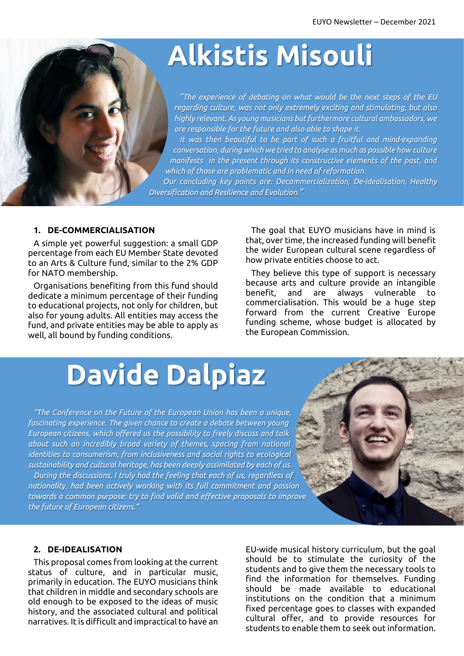# **Alkistis Misouli**

*"The experience of debating on what would be the next steps of the EU regarding culture, was not only extremely exciting and stimulating, but also highly relevant. As young musicians but furthermore cultural ambassadors, we are responsible for the future and also able to shape it.*

*It was then beautiful to be part of such a fruitful and mind-expanding conversation, during which we tried to analyse as much as possible how culture manifests in the present through its constructive elements of the past, and which of those are problematic and in need of reformation.*

*Our concluding key points are: Decommercialization, De-idealisation, Healthy Diversification and Resilience and Evolution."*

#### **1. DE-COMMERCIALISATION**

A simple yet powerful suggestion: a small GDP percentage from each EU Member State devoted to an Arts & Culture fund, similar to the 2% GDP for NATO membership.

Organisations benefiting from this fund should dedicate a minimum percentage of their funding to educational projects, not only for children, but also for young adults. All entities may access the fund, and private entities may be able to apply as well, all bound by funding conditions.

The goal that EUYO musicians have in mind is that, over time, the increased funding will benefit the wider European cultural scene regardless of how private entities choose to act.

They believe this type of support is necessary because arts and culture provide an intangible benefit, and are always vulnerable to commercialisation. This would be a huge step forward from the current Creative Europe funding scheme, whose budget is allocated by the European Commission.

### **Davide Dalpiaz**

*"The Conference on the Future of the European Union has been a unique, fascinating experience. The given chance to create a debate between young European citizens, which offered us the possibility to freely discuss and talk about such an incredibly broad variety of themes, spacing from national identities to consumerism, from inclusiveness and social rights to ecological sustainability and cultural heritage, has been deeply assimilated by each of us. During the discussions, I truly had the feeling that each of us, regardless of nationality, had been actively working with its full commitment and passion* 

*towards a common purpose: try to find valid and effective proposals to improve the future of European citizens."*

#### **2. DE-IDEALISATION**

This proposal comes from looking at the current status of culture, and in particular music, primarily in education. The EUYO musicians think that children in middle and secondary schools are old enough to be exposed to the ideas of music history, and the associated cultural and political narratives. It is difficult and impractical to have an

EU-wide musical history curriculum, but the goal should be to stimulate the curiosity of the students and to give them the necessary tools to find the information for themselves. Funding should be made available to educational institutions on the condition that a minimum fixed percentage goes to classes with expanded cultural offer, and to provide resources for students to enable them to seek out information.